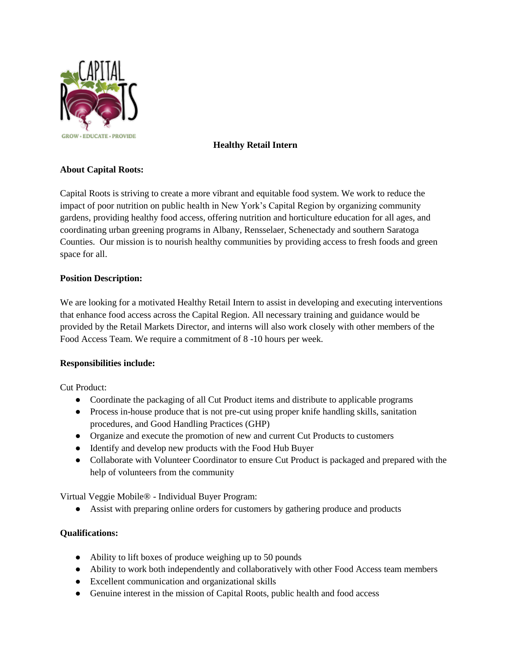

## **Healthy Retail Intern**

## **About Capital Roots:**

Capital Roots is striving to create a more vibrant and equitable food system. We work to reduce the impact of poor nutrition on public health in New York's Capital Region by organizing community gardens, providing healthy food access, offering nutrition and horticulture education for all ages, and coordinating urban greening programs in Albany, Rensselaer, Schenectady and southern Saratoga Counties. Our mission is to nourish healthy communities by providing access to fresh foods and green space for all.

### **Position Description:**

We are looking for a motivated Healthy Retail Intern to assist in developing and executing interventions that enhance food access across the Capital Region. All necessary training and guidance would be provided by the Retail Markets Director, and interns will also work closely with other members of the Food Access Team. We require a commitment of 8 -10 hours per week.

#### **Responsibilities include:**

Cut Product:

- Coordinate the packaging of all Cut Product items and distribute to applicable programs
- Process in-house produce that is not pre-cut using proper knife handling skills, sanitation procedures, and Good Handling Practices (GHP)
- Organize and execute the promotion of new and current Cut Products to customers
- Identify and develop new products with the Food Hub Buyer
- Collaborate with Volunteer Coordinator to ensure Cut Product is packaged and prepared with the help of volunteers from the community

Virtual Veggie Mobile® - Individual Buyer Program:

● Assist with preparing online orders for customers by gathering produce and products

## **Qualifications:**

- Ability to lift boxes of produce weighing up to 50 pounds
- Ability to work both independently and collaboratively with other Food Access team members
- Excellent communication and organizational skills
- Genuine interest in the mission of Capital Roots, public health and food access